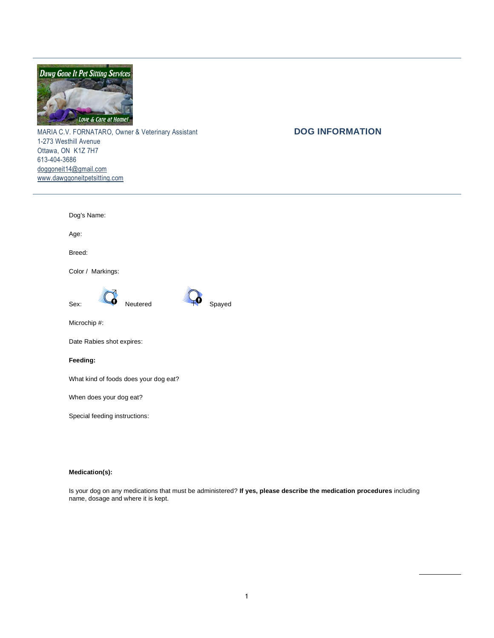

MARIA C.V. FORNATARO, Owner & Veterinary Assistant **DOG INFORMATION** 1-273 Westhill Avenue Ottawa, ON K1Z 7H7 613-404-3686 [doggoneit14@gmail.com](mailto:doggoneit14@gmail.com) [www.dawggoneitpetsitting.com](http://www.dawggoneitpetsitting.com/)

| Dog's Name:                           |        |
|---------------------------------------|--------|
| Age:                                  |        |
| Breed:                                |        |
| Color / Markings:                     |        |
| Sex:<br>Neutered                      | Spayed |
| Microchip #:                          |        |
| Date Rabies shot expires:             |        |
| Feeding:                              |        |
| What kind of foods does your dog eat? |        |
| When does your dog eat?               |        |

Special feeding instructions:

## **Medication(s):**

Is your dog on any medications that must be administered? **If yes, please describe the medication procedures** including name, dosage and where it is kept.